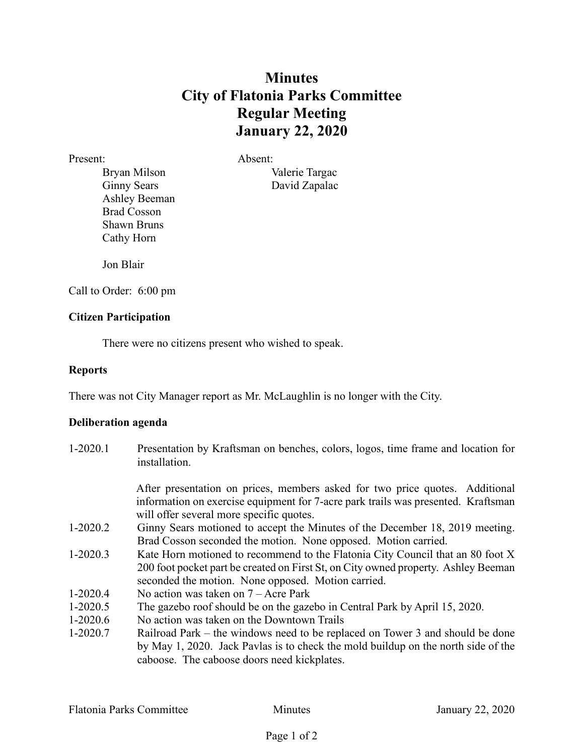## **Minutes City of Flatonia Parks Committee Regular Meeting January 22, 2020**

Present: Absent: Ashley Beeman Brad Cosson Shawn Bruns Cathy Horn

Bryan Milson Valerie Targac Ginny Sears David Zapalac

Jon Blair

Call to Order: 6:00 pm

## **Citizen Participation**

There were no citizens present who wished to speak.

## **Reports**

There was not City Manager report as Mr. McLaughlin is no longer with the City.

## **Deliberation agenda**

1-2020.1 Presentation by Kraftsman on benches, colors, logos, time frame and location for installation. After presentation on prices, members asked for two price quotes. Additional information on exercise equipment for 7-acre park trails was presented. Kraftsman will offer several more specific quotes. 1-2020.2 Ginny Sears motioned to accept the Minutes of the December 18, 2019 meeting. Brad Cosson seconded the motion. None opposed. Motion carried. 1-2020.3 Kate Horn motioned to recommend to the Flatonia City Council that an 80 foot X 200 foot pocket part be created on First St, on City owned property. Ashley Beeman seconded the motion. None opposed. Motion carried. 1-2020.4 No action was taken on 7 – Acre Park 1-2020.5 The gazebo roof should be on the gazebo in Central Park by April 15, 2020. 1-2020.6 No action was taken on the Downtown Trails 1-2020.7 Railroad Park – the windows need to be replaced on Tower 3 and should be done by May 1, 2020. Jack Pavlas is to check the mold buildup on the north side of the

caboose. The caboose doors need kickplates.